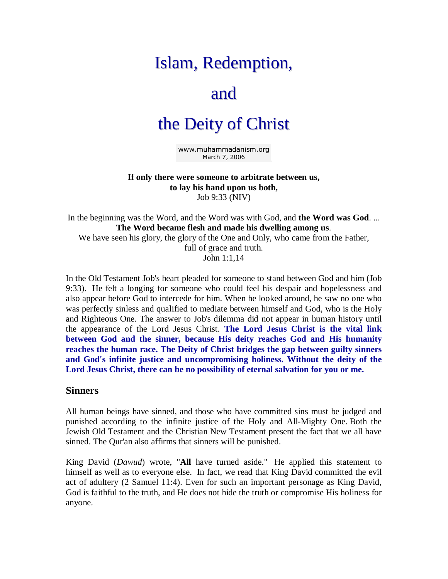# Islam, Redemption,

## and

## the Deity of Christ

[www.muhammadanism.org](http://www.muhammadanism.org/) March 7, 2006

**If only there were someone to arbitrate between us, to lay his hand upon us both,**  Job 9:33 (NIV)

In the beginning was the Word, and the Word was with God, and **the Word was God**. ... **The Word became flesh and made his dwelling among us**. We have seen his glory, the glory of the One and Only, who came from the Father,

full of grace and truth. John 1:1,14

In the Old Testament Job's heart pleaded for someone to stand between God and him (Job 9:33). He felt a longing for someone who could feel his despair and hopelessness and also appear before God to intercede for him. When he looked around, he saw no one who was perfectly sinless and qualified to mediate between himself and God, who is the Holy and Righteous One. The answer to Job's dilemma did not appear in human history until the appearance of the Lord Jesus Christ. **The Lord Jesus Christ is the vital link between God and the sinner, because His deity reaches God and His humanity reaches the human race. The Deity of Christ bridges the gap between guilty sinners and God's infinite justice and uncompromising holiness. Without the deity of the Lord Jesus Christ, there can be no possibility of eternal salvation for you or me.** 

#### **Sinners**

All human beings have sinned, and those who have committed sins must be judged and punished according to the infinite justice of the Holy and All-Mighty One. Both the Jewish Old Testament and the Christian New Testament present the fact that we all have sinned. The Qur'an also affirms that sinners will be punished.

King David (*Dawud*) wrote, "**All** have turned aside." He applied this statement to himself as well as to everyone else. In fact, we read that King David committed the evil act of adultery (2 Samuel 11:4). Even for such an important personage as King David, God is faithful to the truth, and He does not hide the truth or compromise His holiness for anyone.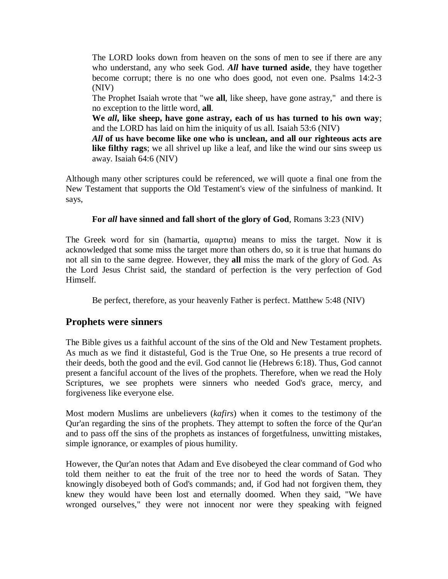The LORD looks down from heaven on the sons of men to see if there are any who understand, any who seek God. *All* **have turned aside**, they have together become corrupt; there is no one who does good, not even one. Psalms 14:2-3 (NIV)

The Prophet Isaiah wrote that "we **all**, like sheep, have gone astray," and there is no exception to the little word, **all**.

**We** *all***, like sheep, have gone astray, each of us has turned to his own way**; and the LORD has laid on him the iniquity of us all. Isaiah 53:6 (NIV)

*All* **of us have become like one who is unclean, and all our righteous acts are like filthy rags**; we all shrivel up like a leaf, and like the wind our sins sweep us away. Isaiah 64:6 (NIV)

Although many other scriptures could be referenced, we will quote a final one from the New Testament that supports the Old Testament's view of the sinfulness of mankind. It says,

#### **For** *all* **have sinned and fall short of the glory of God**, Romans 3:23 (NIV)

The Greek word for sin (hamartia,  $\alpha\mu\alpha\rho\tau\alpha$ ) means to miss the target. Now it is acknowledged that some miss the target more than others do, so it is true that humans do not all sin to the same degree. However, they **all** miss the mark of the glory of God. As the Lord Jesus Christ said, the standard of perfection is the very perfection of God Himself.

Be perfect, therefore, as your heavenly Father is perfect. Matthew 5:48 (NIV)

### **Prophets were sinners**

The Bible gives us a faithful account of the sins of the Old and New Testament prophets. As much as we find it distasteful, God is the True One, so He presents a true record of their deeds, both the good and the evil. God cannot lie (Hebrews 6:18). Thus, God cannot present a fanciful account of the lives of the prophets. Therefore, when we read the Holy Scriptures, we see prophets were sinners who needed God's grace, mercy, and forgiveness like everyone else.

Most modern Muslims are unbelievers (*kafirs*) when it comes to the testimony of the Qur'an regarding the sins of the prophets. They attempt to soften the force of the Qur'an and to pass off the sins of the prophets as instances of forgetfulness, unwitting mistakes, simple ignorance, or examples of pious humility.

However, the Qur'an notes that Adam and Eve disobeyed the clear command of God who told them neither to eat the fruit of the tree nor to heed the words of Satan. They knowingly disobeyed both of God's commands; and, if God had not forgiven them, they knew they would have been lost and eternally doomed. When they said, "We have wronged ourselves," they were not innocent nor were they speaking with feigned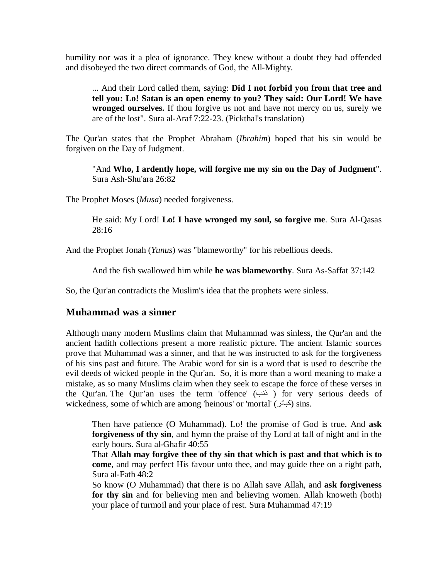humility nor was it a plea of ignorance. They knew without a doubt they had offended and disobeyed the two direct commands of God, the All-Mighty.

... And their Lord called them, saying: **Did I not forbid you from that tree and tell you: Lo! Satan is an open enemy to you? They said: Our Lord! We have wronged ourselves.** If thou forgive us not and have not mercy on us, surely we are of the lost". Sura al-Araf 7:22-23. (Pickthal's translation)

The Qur'an states that the Prophet Abraham (*Ibrahim*) hoped that his sin would be forgiven on the Day of Judgment.

"And **Who, I ardently hope, will forgive me my sin on the Day of Judgment**". Sura Ash-Shu'ara 26:82

The Prophet Moses (*Musa*) needed forgiveness.

He said: My Lord! **Lo! I have wronged my soul, so forgive me**. Sura Al-Qasas 28:16

And the Prophet Jonah (*Yunus*) was "blameworthy" for his rebellious deeds.

And the fish swallowed him while **he was blameworthy**. Sura As-Saffat 37:142

So, the Qur'an contradicts the Muslim's idea that the prophets were sinless.

### **Muhammad was a sinner**

Although many modern Muslims claim that Muhammad was sinless, the Qur'an and the ancient hadith collections present a more realistic picture. The ancient Islamic sources prove that Muhammad was a sinner, and that he was instructed to ask for the forgiveness of his sins past and future. The Arabic word for sin is a word that is used to describe the evil deeds of wicked people in the Qur'an. So, it is more than a word meaning to make a mistake, as so many Muslims claim when they seek to escape the force of these verses in the Qur'an. The Qur'an uses the term 'offence' (خنب) for very serious deeds of wickedness, some of which are among 'heinous' or 'mortal' (كبائر) sins.

Then have patience (O Muhammad). Lo! the promise of God is true. And **ask forgiveness of thy sin**, and hymn the praise of thy Lord at fall of night and in the early hours. Sura al-Ghafir 40:55

That **Allah may forgive thee of thy sin that which is past and that which is to come**, and may perfect His favour unto thee, and may guide thee on a right path, Sura al-Fath 48:2

So know (O Muhammad) that there is no Allah save Allah, and **ask forgiveness**  for thy sin and for believing men and believing women. Allah knoweth (both) your place of turmoil and your place of rest. Sura Muhammad 47:19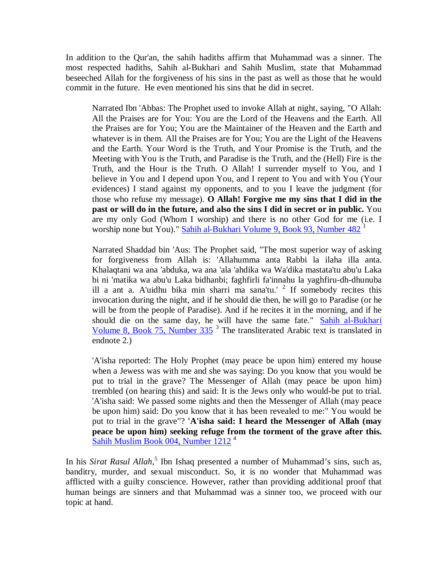In addition to the Qur'an, the sahih hadiths affirm that Muhammad was a sinner. The most respected hadiths, Sahih al-Bukhari and Sahih Muslim, state that Muhammad beseeched Allah for the forgiveness of his sins in the past as well as those that he would commit in the future. He even mentioned his sins that he did in secret.

Narrated Ibn 'Abbas: The Prophet used to invoke Allah at night, saying, "O Allah: All the Praises are for You: You are the Lord of the Heavens and the Earth. All the Praises are for You; You are the Maintainer of the Heaven and the Earth and whatever is in them. All the Praises are for You; You are the Light of the Heavens and the Earth. Your Word is the Truth, and Your Promise is the Truth, and the Meeting with You is the Truth, and Paradise is the Truth, and the (Hell) Fire is the Truth, and the Hour is the Truth. O Allah! I surrender myself to You, and I believe in You and I depend upon You, and I repent to You and with You (Your evidences) I stand against my opponents, and to you I leave the judgment (for those who refuse my message). **O Allah! Forgive me my sins that I did in the past or will do in the future, and also the sins I did in secret or in public.** You are my only God (Whom I worship) and there is no other God for me (i.e. I worship none but You)." [Sahih al-Bukhari Volume 9, Book 93, Number 482](http://www.usc.edu/dept/MSA/fundamentals/hadithsunnah/bukhari/093.sbt.html009.093.482)<sup>1</sup>

Narrated Shaddad bin 'Aus: The Prophet said, "The most superior way of asking for forgiveness from Allah is: 'Allahumma anta Rabbi la ilaha illa anta. Khalaqtani wa ana 'abduka, wa ana 'ala 'ahdika wa Wa'dika mastata'tu abu'u Laka bi ni 'matika wa abu'u Laka bidhanbi; faghfirli fa'innahu la yaghfiru-dh-dhunuba ill a ant a. A'uidhu bika min sharri ma sana'tu.' <sup>2</sup> If somebody recites this invocation during the night, and if he should die then, he will go to Paradise (or he will be from the people of Paradise). And if he recites it in the morning, and if he should die on the same day, he will have the same fate." Sahih al-Bukhari Volume 8, Book 75, Number  $335<sup>3</sup>$  The transliterated Arabic text is translated in endnote 2.)

'A'isha reported: The Holy Prophet (may peace be upon him) entered my house when a Jewess was with me and she was saying: Do you know that you would be put to trial in the grave? The Messenger of Allah (may peace be upon him) trembled (on hearing this) and said: It is the Jews only who would-be put to trial. 'A'isha said: We passed some nights and then the Messenger of Allah (may peace be upon him) said: Do you know that it has been revealed to me:" You would be put to trial in the grave"? **'A'isha said: I heard the Messenger of Allah (may peace be upon him) seeking refuge from the torment of the grave after this.** [Sahih Muslim Book 004, Number 1212](http://www.usc.edu/dept/MSA/fundamentals/hadithsunnah/muslim/004.smt.html004.1212)<sup>4</sup>

In his *Sirat Rasul Allah*,<sup>5</sup> Ibn Ishaq presented a number of Muhammad's sins, such as, banditry, murder, and sexual misconduct. So, it is no wonder that Muhammad was afflicted with a guilty conscience. However, rather than providing additional proof that human beings are sinners and that Muhammad was a sinner too, we proceed with our topic at hand.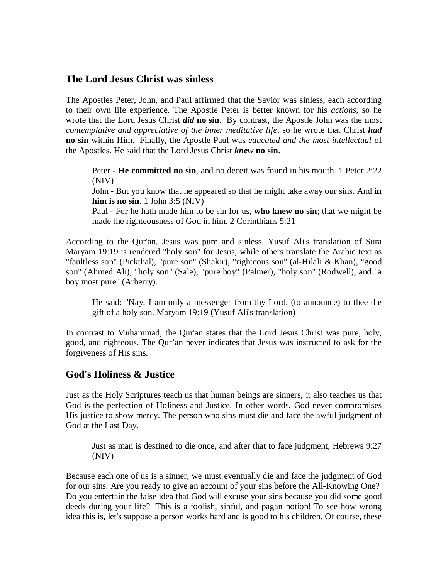#### **The Lord Jesus Christ was sinless**

The Apostles Peter, John, and Paul affirmed that the Savior was sinless, each according to their own life experience. The Apostle Peter is better known for his *actions*, so he wrote that the Lord Jesus Christ *did* **no sin**. By contrast, the Apostle John was the most *contemplative and appreciative of the inner meditative life*, so he wrote that Christ *had* **no sin** within Him. Finally, the Apostle Paul was *educated and the most intellectual* of the Apostles. He said that the Lord Jesus Christ *knew* **no sin**.

Peter - **He committed no sin**, and no deceit was found in his mouth. 1 Peter 2:22 (NIV)

John - But you know that he appeared so that he might take away our sins. And **in him is no sin**. 1 John 3:5 (NIV)

Paul - For he hath made him to be sin for us, **who knew no sin**; that we might be made the righteousness of God in him. 2 Corinthians 5:21

According to the Qur'an, Jesus was pure and sinless. Yusuf Ali's translation of Sura Maryam 19:19 is rendered "holy son" for Jesus, while others translate the Arabic text as "faultless son" (Pickthal), "pure son" (Shakir), "righteous son" (al-Hilali & Khan), "good son" (Ahmed Ali), "holy son" (Sale), "pure boy" (Palmer), "holy son" (Rodwell), and "a boy most pure" (Arberry).

He said: "Nay, I am only a messenger from thy Lord, (to announce) to thee the gift of a holy son. Maryam 19:19 (Yusuf Ali's translation)

In contrast to Muhammad, the Qur'an states that the Lord Jesus Christ was pure, holy, good, and righteous. The Qur'an never indicates that Jesus was instructed to ask for the forgiveness of His sins.

#### **God's Holiness & Justice**

Just as the Holy Scriptures teach us that human beings are sinners, it also teaches us that God is the perfection of Holiness and Justice. In other words, God never compromises His justice to show mercy. The person who sins must die and face the awful judgment of God at the Last Day.

Just as man is destined to die once, and after that to face judgment, Hebrews 9:27 (NIV)

Because each one of us is a sinner, we must eventually die and face the judgment of God for our sins. Are you ready to give an account of your sins before the All-Knowing One? Do you entertain the false idea that God will excuse your sins because you did some good deeds during your life? This is a foolish, sinful, and pagan notion! To see how wrong idea this is, let's suppose a person works hard and is good to his children. Of course, these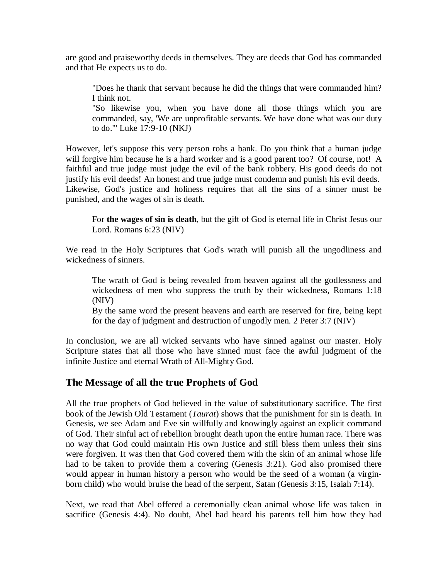are good and praiseworthy deeds in themselves. They are deeds that God has commanded and that He expects us to do.

"Does he thank that servant because he did the things that were commanded him? I think not.

"So likewise you, when you have done all those things which you are commanded, say, 'We are unprofitable servants. We have done what was our duty to do.'" Luke 17:9-10 (NKJ)

However, let's suppose this very person robs a bank. Do you think that a human judge will forgive him because he is a hard worker and is a good parent too? Of course, not! A faithful and true judge must judge the evil of the bank robbery. His good deeds do not justify his evil deeds! An honest and true judge must condemn and punish his evil deeds. Likewise, God's justice and holiness requires that all the sins of a sinner must be punished, and the wages of sin is death.

For **the wages of sin is death**, but the gift of God is eternal life in Christ Jesus our Lord. Romans 6:23 (NIV)

We read in the Holy Scriptures that God's wrath will punish all the ungodliness and wickedness of sinners.

The wrath of God is being revealed from heaven against all the godlessness and wickedness of men who suppress the truth by their wickedness, Romans 1:18 (NIV)

By the same word the present heavens and earth are reserved for fire, being kept for the day of judgment and destruction of ungodly men. 2 Peter 3:7 (NIV)

In conclusion, we are all wicked servants who have sinned against our master. Holy Scripture states that all those who have sinned must face the awful judgment of the infinite Justice and eternal Wrath of All-Mighty God.

## **The Message of all the true Prophets of God**

All the true prophets of God believed in the value of substitutionary sacrifice. The first book of the Jewish Old Testament (*Taurat*) shows that the punishment for sin is death. In Genesis, we see Adam and Eve sin willfully and knowingly against an explicit command of God. Their sinful act of rebellion brought death upon the entire human race. There was no way that God could maintain His own Justice and still bless them unless their sins were forgiven. It was then that God covered them with the skin of an animal whose life had to be taken to provide them a covering (Genesis 3:21). God also promised there would appear in human history a person who would be the seed of a woman (a virginborn child) who would bruise the head of the serpent, Satan (Genesis 3:15, Isaiah 7:14).

Next, we read that Abel offered a ceremonially clean animal whose life was taken in sacrifice (Genesis 4:4). No doubt, Abel had heard his parents tell him how they had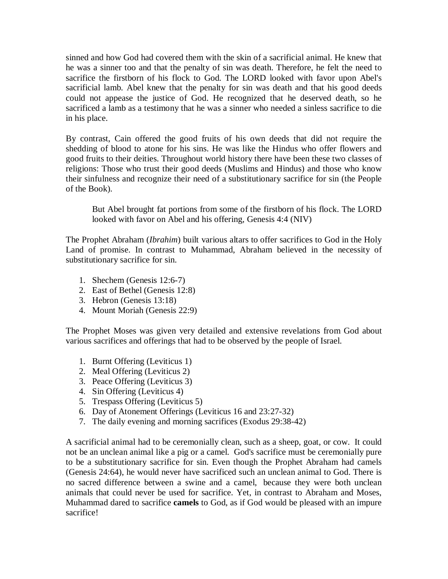sinned and how God had covered them with the skin of a sacrificial animal. He knew that he was a sinner too and that the penalty of sin was death. Therefore, he felt the need to sacrifice the firstborn of his flock to God. The LORD looked with favor upon Abel's sacrificial lamb. Abel knew that the penalty for sin was death and that his good deeds could not appease the justice of God. He recognized that he deserved death, so he sacrificed a lamb as a testimony that he was a sinner who needed a sinless sacrifice to die in his place.

By contrast, Cain offered the good fruits of his own deeds that did not require the shedding of blood to atone for his sins. He was like the Hindus who offer flowers and good fruits to their deities. Throughout world history there have been these two classes of religions: Those who trust their good deeds (Muslims and Hindus) and those who know their sinfulness and recognize their need of a substitutionary sacrifice for sin (the People of the Book).

But Abel brought fat portions from some of the firstborn of his flock. The LORD looked with favor on Abel and his offering, Genesis 4:4 (NIV)

The Prophet Abraham (*Ibrahim*) built various altars to offer sacrifices to God in the Holy Land of promise. In contrast to Muhammad, Abraham believed in the necessity of substitutionary sacrifice for sin.

- 1. Shechem (Genesis 12:6-7)
- 2. East of Bethel (Genesis 12:8)
- 3. Hebron (Genesis 13:18)
- 4. Mount Moriah (Genesis 22:9)

The Prophet Moses was given very detailed and extensive revelations from God about various sacrifices and offerings that had to be observed by the people of Israel.

- 1. Burnt Offering (Leviticus 1)
- 2. Meal Offering (Leviticus 2)
- 3. Peace Offering (Leviticus 3)
- 4. Sin Offering (Leviticus 4)
- 5. Trespass Offering (Leviticus 5)
- 6. Day of Atonement Offerings (Leviticus 16 and 23:27-32)
- 7. The daily evening and morning sacrifices (Exodus 29:38-42)

A sacrificial animal had to be ceremonially clean, such as a sheep, goat, or cow. It could not be an unclean animal like a pig or a camel. God's sacrifice must be ceremonially pure to be a substitutionary sacrifice for sin. Even though the Prophet Abraham had camels (Genesis 24:64), he would never have sacrificed such an unclean animal to God. There is no sacred difference between a swine and a camel, because they were both unclean animals that could never be used for sacrifice. Yet, in contrast to Abraham and Moses, Muhammad dared to sacrifice **camels** to God, as if God would be pleased with an impure sacrifice!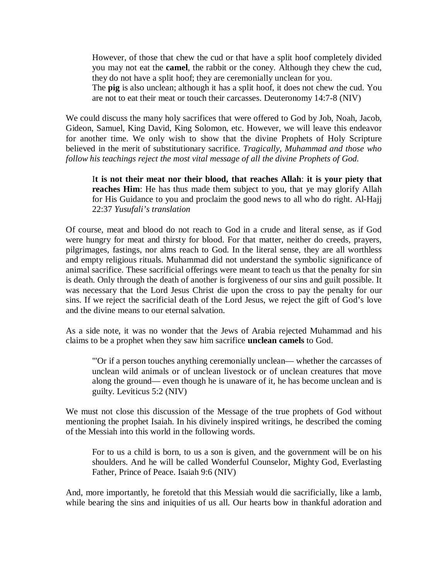However, of those that chew the cud or that have a split hoof completely divided you may not eat the **camel**, the rabbit or the coney. Although they chew the cud, they do not have a split hoof; they are ceremonially unclean for you.

The **pig** is also unclean; although it has a split hoof, it does not chew the cud. You are not to eat their meat or touch their carcasses. Deuteronomy 14:7-8 (NIV)

We could discuss the many holy sacrifices that were offered to God by Job, Noah, Jacob, Gideon, Samuel, King David, King Solomon, etc. However, we will leave this endeavor for another time. We only wish to show that the divine Prophets of Holy Scripture believed in the merit of substitutionary sacrifice. *Tragically, Muhammad and those who follow his teachings reject the most vital message of all the divine Prophets of God.*

I**t is not their meat nor their blood, that reaches Allah**: **it is your piety that reaches Him**: He has thus made them subject to you, that ye may glorify Allah for His Guidance to you and proclaim the good news to all who do right. Al-Hajj 22:37 *Yusufali's translation*

Of course, meat and blood do not reach to God in a crude and literal sense, as if God were hungry for meat and thirsty for blood. For that matter, neither do creeds, prayers, pilgrimages, fastings, nor alms reach to God. In the literal sense, they are all worthless and empty religious rituals. Muhammad did not understand the symbolic significance of animal sacrifice. These sacrificial offerings were meant to teach us that the penalty for sin is death. Only through the death of another is forgiveness of our sins and guilt possible. It was necessary that the Lord Jesus Christ die upon the cross to pay the penalty for our sins. If we reject the sacrificial death of the Lord Jesus, we reject the gift of God's love and the divine means to our eternal salvation.

As a side note, it was no wonder that the Jews of Arabia rejected Muhammad and his claims to be a prophet when they saw him sacrifice **unclean camels** to God.

"'Or if a person touches anything ceremonially unclean— whether the carcasses of unclean wild animals or of unclean livestock or of unclean creatures that move along the ground— even though he is unaware of it, he has become unclean and is guilty. Leviticus 5:2 (NIV)

We must not close this discussion of the Message of the true prophets of God without mentioning the prophet Isaiah. In his divinely inspired writings, he described the coming of the Messiah into this world in the following words.

For to us a child is born, to us a son is given, and the government will be on his shoulders. And he will be called Wonderful Counselor, Mighty God, Everlasting Father, Prince of Peace. Isaiah 9:6 (NIV)

And, more importantly, he foretold that this Messiah would die sacrificially, like a lamb, while bearing the sins and iniquities of us all. Our hearts bow in thankful adoration and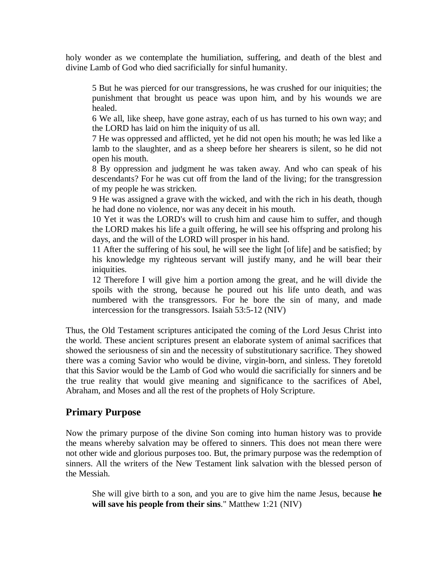holy wonder as we contemplate the humiliation, suffering, and death of the blest and divine Lamb of God who died sacrificially for sinful humanity.

5 But he was pierced for our transgressions, he was crushed for our iniquities; the punishment that brought us peace was upon him, and by his wounds we are healed.

6 We all, like sheep, have gone astray, each of us has turned to his own way; and the LORD has laid on him the iniquity of us all.

7 He was oppressed and afflicted, yet he did not open his mouth; he was led like a lamb to the slaughter, and as a sheep before her shearers is silent, so he did not open his mouth.

8 By oppression and judgment he was taken away. And who can speak of his descendants? For he was cut off from the land of the living; for the transgression of my people he was stricken.

9 He was assigned a grave with the wicked, and with the rich in his death, though he had done no violence, nor was any deceit in his mouth.

10 Yet it was the LORD's will to crush him and cause him to suffer, and though the LORD makes his life a guilt offering, he will see his offspring and prolong his days, and the will of the LORD will prosper in his hand.

11 After the suffering of his soul, he will see the light [of life] and be satisfied; by his knowledge my righteous servant will justify many, and he will bear their iniquities.

12 Therefore I will give him a portion among the great, and he will divide the spoils with the strong, because he poured out his life unto death, and was numbered with the transgressors. For he bore the sin of many, and made intercession for the transgressors. Isaiah 53:5-12 (NIV)

Thus, the Old Testament scriptures anticipated the coming of the Lord Jesus Christ into the world. These ancient scriptures present an elaborate system of animal sacrifices that showed the seriousness of sin and the necessity of substitutionary sacrifice. They showed there was a coming Savior who would be divine, virgin-born, and sinless. They foretold that this Savior would be the Lamb of God who would die sacrificially for sinners and be the true reality that would give meaning and significance to the sacrifices of Abel, Abraham, and Moses and all the rest of the prophets of Holy Scripture.

### **Primary Purpose**

Now the primary purpose of the divine Son coming into human history was to provide the means whereby salvation may be offered to sinners. This does not mean there were not other wide and glorious purposes too. But, the primary purpose was the redemption of sinners. All the writers of the New Testament link salvation with the blessed person of the Messiah.

She will give birth to a son, and you are to give him the name Jesus, because **he will save his people from their sins**." Matthew 1:21 (NIV)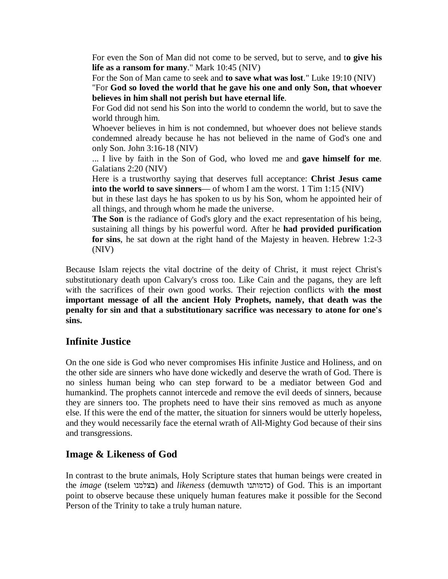For even the Son of Man did not come to be served, but to serve, and t**o give his life as a ransom for many**." Mark 10:45 (NIV)

For the Son of Man came to seek and **to save what was lost**." Luke 19:10 (NIV)

"For **God so loved the world that he gave his one and only Son, that whoever believes in him shall not perish but have eternal life**.

For God did not send his Son into the world to condemn the world, but to save the world through him.

Whoever believes in him is not condemned, but whoever does not believe stands condemned already because he has not believed in the name of God's one and only Son. John 3:16-18 (NIV)

... I live by faith in the Son of God, who loved me and **gave himself for me**. Galatians 2:20 (NIV)

Here is a trustworthy saying that deserves full acceptance: **Christ Jesus came into the world to save sinners**— of whom I am the worst. 1 Tim 1:15 (NIV)

but in these last days he has spoken to us by his Son, whom he appointed heir of all things, and through whom he made the universe.

**The Son** is the radiance of God's glory and the exact representation of his being, sustaining all things by his powerful word. After he **had provided purification for sins**, he sat down at the right hand of the Majesty in heaven. Hebrew 1:2-3 (NIV)

Because Islam rejects the vital doctrine of the deity of Christ, it must reject Christ's substitutionary death upon Calvary's cross too. Like Cain and the pagans, they are left with the sacrifices of their own good works. Their rejection conflicts with **the most important message of all the ancient Holy Prophets, namely, that death was the penalty for sin and that a substitutionary sacrifice was necessary to atone for one's sins.** 

## **Infinite Justice**

On the one side is God who never compromises His infinite Justice and Holiness, and on the other side are sinners who have done wickedly and deserve the wrath of God. There is no sinless human being who can step forward to be a mediator between God and humankind. The prophets cannot intercede and remove the evil deeds of sinners, because they are sinners too. The prophets need to have their sins removed as much as anyone else. If this were the end of the matter, the situation for sinners would be utterly hopeless, and they would necessarily face the eternal wrath of All-Mighty God because of their sins and transgressions.

## **Image & Likeness of God**

In contrast to the brute animals, Holy Scripture states that human beings were created in the *image* (tselem בצלמנו (and *likeness* (demuwth כדמותנו (of God. This is an important point to observe because these uniquely human features make it possible for the Second Person of the Trinity to take a truly human nature.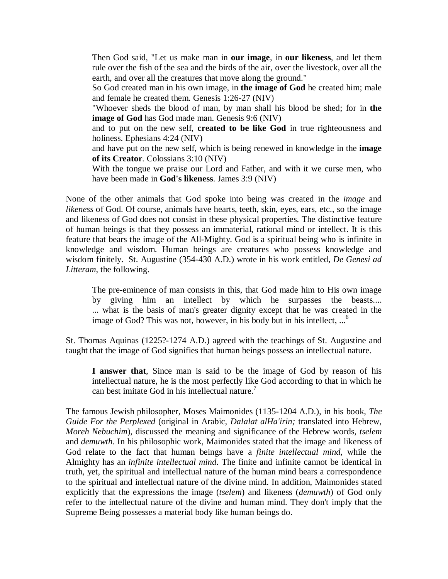Then God said, "Let us make man in **our image**, in **our likeness**, and let them rule over the fish of the sea and the birds of the air, over the livestock, over all the earth, and over all the creatures that move along the ground."

So God created man in his own image, in **the image of God** he created him; male and female he created them. Genesis 1:26-27 (NIV)

"Whoever sheds the blood of man, by man shall his blood be shed; for in **the image of God** has God made man. Genesis 9:6 (NIV)

and to put on the new self, **created to be like God** in true righteousness and holiness. Ephesians 4:24 (NIV)

and have put on the new self, which is being renewed in knowledge in the **image of its Creator**. Colossians 3:10 (NIV)

With the tongue we praise our Lord and Father, and with it we curse men, who have been made in **God's likeness**. James 3:9 (NIV)

None of the other animals that God spoke into being was created in the *image* and *likeness* of God. Of course, animals have hearts, teeth, skin, eyes, ears, etc., so the image and likeness of God does not consist in these physical properties. The distinctive feature of human beings is that they possess an immaterial, rational mind or intellect. It is this feature that bears the image of the All-Mighty. God is a spiritual being who is infinite in knowledge and wisdom. Human beings are creatures who possess knowledge and wisdom finitely. St. Augustine (354-430 A.D.) wrote in his work entitled, *De Genesi ad Litteram*, the following.

The pre-eminence of man consists in this, that God made him to His own image by giving him an intellect by which he surpasses the beasts.... ... what is the basis of man's greater dignity except that he was created in the image of God? This was not, however, in his body but in his intellect,  $\ldots$ <sup>6</sup>

St. Thomas Aquinas (1225?-1274 A.D.) agreed with the teachings of St. Augustine and taught that the image of God signifies that human beings possess an intellectual nature.

**I answer that**, Since man is said to be the image of God by reason of his intellectual nature, he is the most perfectly like God according to that in which he can best imitate God in his intellectual nature.<sup>7</sup>

The famous Jewish philosopher, Moses Maimonides (1135-1204 A.D.), in his book, *The Guide For the Perplexed* (original in Arabic*, Dalalat alHa'irin;* translated into Hebrew, *Moreh Nebuchim*), discussed the meaning and significance of the Hebrew words, *tselem* and *demuwth*. In his philosophic work, Maimonides stated that the image and likeness of God relate to the fact that human beings have a *finite intellectual mind*, while the Almighty has an *infinite intellectual mind*. The finite and infinite cannot be identical in truth, yet, the spiritual and intellectual nature of the human mind bears a correspondence to the spiritual and intellectual nature of the divine mind. In addition, Maimonides stated explicitly that the expressions the image (*tselem*) and likeness (*demuwth*) of God only refer to the intellectual nature of the divine and human mind. They don't imply that the Supreme Being possesses a material body like human beings do.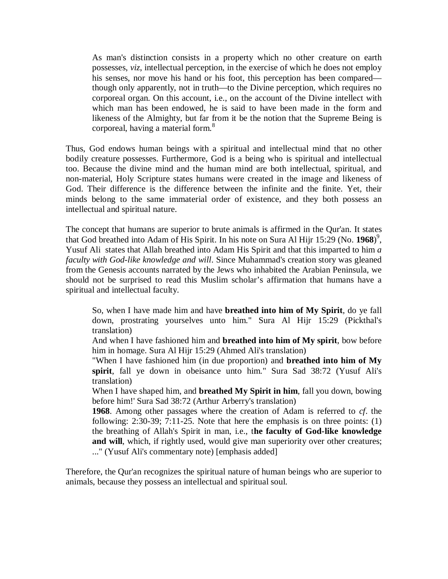As man's distinction consists in a property which no other creature on earth possesses, *viz*, intellectual perception, in the exercise of which he does not employ his senses, nor move his hand or his foot, this perception has been compared though only apparently, not in truth—to the Divine perception, which requires no corporeal organ. On this account, i.e., on the account of the Divine intellect with which man has been endowed, he is said to have been made in the form and likeness of the Almighty, but far from it be the notion that the Supreme Being is corporeal, having a material form.<sup>8</sup>

Thus, God endows human beings with a spiritual and intellectual mind that no other bodily creature possesses. Furthermore, God is a being who is spiritual and intellectual too. Because the divine mind and the human mind are both intellectual, spiritual, and non-material, Holy Scripture states humans were created in the image and likeness of God. Their difference is the difference between the infinite and the finite. Yet, their minds belong to the same immaterial order of existence, and they both possess an intellectual and spiritual nature.

The concept that humans are superior to brute animals is affirmed in the Qur'an. It states that God breathed into Adam of His Spirit. In his note on Sura Al Hijr 15:29 (No. **1968**) 9 , Yusuf Ali states that Allah breathed into Adam His Spirit and that this imparted to him *a faculty with God-like knowledge and will*. Since Muhammad's creation story was gleaned from the Genesis accounts narrated by the Jews who inhabited the Arabian Peninsula, we should not be surprised to read this Muslim scholar's affirmation that humans have a spiritual and intellectual faculty.

So, when I have made him and have **breathed into him of My Spirit**, do ye fall down, prostrating yourselves unto him." Sura Al Hijr 15:29 (Pickthal's translation)

And when I have fashioned him and **breathed into him of My spirit**, bow before him in homage. Sura Al Hijr 15:29 (Ahmed Ali's translation)

"When I have fashioned him (in due proportion) and **breathed into him of My spirit**, fall ye down in obeisance unto him." Sura Sad 38:72 (Yusuf Ali's translation)

When I have shaped him, and **breathed My Spirit in him**, fall you down, bowing before him!' Sura Sad 38:72 (Arthur Arberry's translation)

**1968**. Among other passages where the creation of Adam is referred to *cf*. the following: 2:30-39; 7:11-25. Note that here the emphasis is on three points: (1) the breathing of Allah's Spirit in man, i.e., t**he faculty of God-like knowledge and will**, which, if rightly used, would give man superiority over other creatures; ..." (Yusuf Ali's commentary note) [emphasis added]

Therefore, the Qur'an recognizes the spiritual nature of human beings who are superior to animals, because they possess an intellectual and spiritual soul.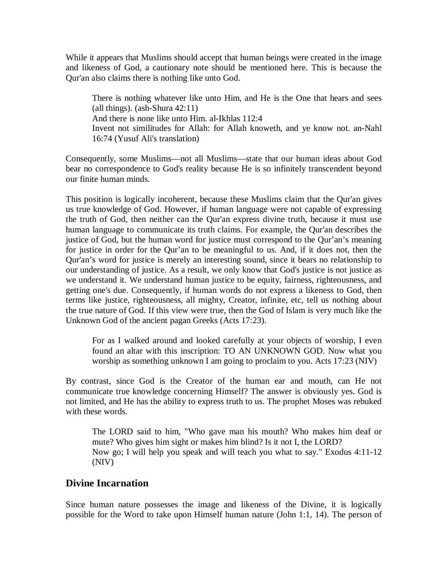While it appears that Muslims should accept that human beings were created in the image and likeness of God, a cautionary note should be mentioned here. This is because the Qur'an also claims there is nothing like unto God.

There is nothing whatever like unto Him, and He is the One that hears and sees (all things). (ash-Shura 42:11) And there is none like unto Him. al-Ikhlas 112:4 Invent not similitudes for Allah: for Allah knoweth, and ye know not. an-Nahl 16:74 (Yusuf Ali's translation)

Consequently, some Muslims—not all Muslims—state that our human ideas about God bear no correspondence to God's reality because He is so infinitely transcendent beyond our finite human minds.

This position is logically incoherent, because these Muslims claim that the Qur'an gives us true knowledge of God. However, if human language were not capable of expressing the truth of God, then neither can the Qur'an express divine truth, because it must use human language to communicate its truth claims. For example, the Qur'an describes the justice of God, but the human word for justice must correspond to the Qur'an's meaning for justice in order for the Qur'an to be meaningful to us. And, if it does not, then the Qur'an's word for justice is merely an interesting sound, since it bears no relationship to our understanding of justice. As a result, we only know that God's justice is not justice as we understand it. We understand human justice to be equity, fairness, righteousness, and getting one's due. Consequently, if human words do not express a likeness to God, then terms like justice, righteousness, all mighty, Creator, infinite, etc, tell us nothing about the true nature of God. If this view were true, then the God of Islam is very much like the Unknown God of the ancient pagan Greeks (Acts 17:23).

For as I walked around and looked carefully at your objects of worship, I even found an altar with this inscription: TO AN UNKNOWN GOD. Now what you worship as something unknown I am going to proclaim to you. Acts 17:23 (NIV)

By contrast, since God is the Creator of the human ear and mouth, can He not communicate true knowledge concerning Himself? The answer is obviously yes. God is not limited, and He has the ability to express truth to us. The prophet Moses was rebuked with these words.

The LORD said to him, "Who gave man his mouth? Who makes him deaf or mute? Who gives him sight or makes him blind? Is it not I, the LORD? Now go; I will help you speak and will teach you what to say." Exodus 4:11-12 (NIV)

#### **Divine Incarnation**

Since human nature possesses the image and likeness of the Divine, it is logically possible for the Word to take upon Himself human nature (John 1:1, 14). The person of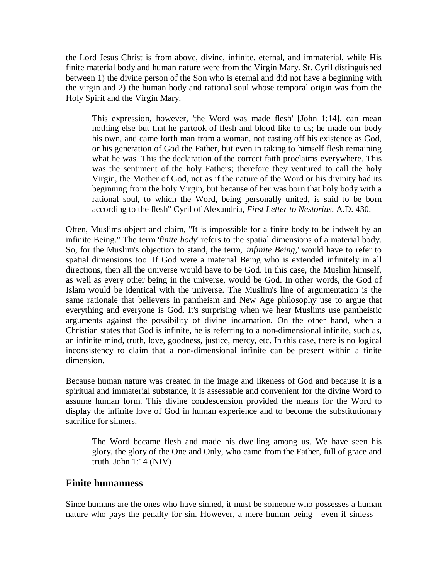the Lord Jesus Christ is from above, divine, infinite, eternal, and immaterial, while His finite material body and human nature were from the Virgin Mary. St. Cyril distinguished between 1) the divine person of the Son who is eternal and did not have a beginning with the virgin and 2) the human body and rational soul whose temporal origin was from the Holy Spirit and the Virgin Mary.

This expression, however, 'the Word was made flesh' [John 1:14], can mean nothing else but that he partook of flesh and blood like to us; he made our body his own, and came forth man from a woman, not casting off his existence as God, or his generation of God the Father, but even in taking to himself flesh remaining what he was. This the declaration of the correct faith proclaims everywhere. This was the sentiment of the holy Fathers; therefore they ventured to call the holy Virgin, the Mother of God, not as if the nature of the Word or his divinity had its beginning from the holy Virgin, but because of her was born that holy body with a rational soul, to which the Word, being personally united, is said to be born according to the flesh" Cyril of Alexandria, *First Letter to Nestorius*, A.D. 430.

Often, Muslims object and claim, "It is impossible for a finite body to be indwelt by an infinite Being." The term '*finite body*' refers to the spatial dimensions of a material body. So, for the Muslim's objection to stand, the term, '*infinite Being*,' would have to refer to spatial dimensions too. If God were a material Being who is extended infinitely in all directions, then all the universe would have to be God. In this case, the Muslim himself, as well as every other being in the universe, would be God. In other words, the God of Islam would be identical with the universe. The Muslim's line of argumentation is the same rationale that believers in pantheism and New Age philosophy use to argue that everything and everyone is God. It's surprising when we hear Muslims use pantheistic arguments against the possibility of divine incarnation. On the other hand, when a Christian states that God is infinite, he is referring to a non-dimensional infinite, such as, an infinite mind, truth, love, goodness, justice, mercy, etc. In this case, there is no logical inconsistency to claim that a non-dimensional infinite can be present within a finite dimension.

Because human nature was created in the image and likeness of God and because it is a spiritual and immaterial substance, it is assessable and convenient for the divine Word to assume human form. This divine condescension provided the means for the Word to display the infinite love of God in human experience and to become the substitutionary sacrifice for sinners.

The Word became flesh and made his dwelling among us. We have seen his glory, the glory of the One and Only, who came from the Father, full of grace and truth. John 1:14 (NIV)

#### **Finite humanness**

Since humans are the ones who have sinned, it must be someone who possesses a human nature who pays the penalty for sin. However, a mere human being—even if sinless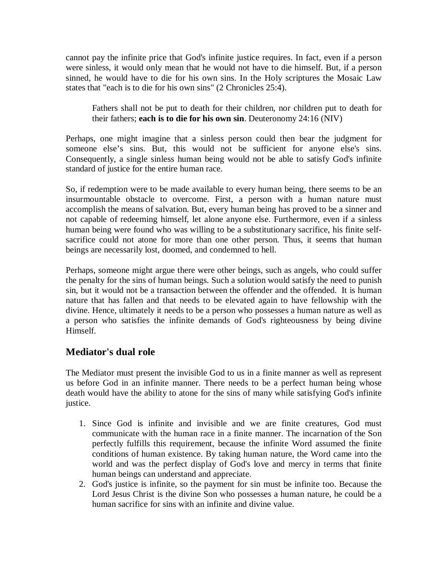cannot pay the infinite price that God's infinite justice requires. In fact, even if a person were sinless, it would only mean that he would not have to die himself. But, if a person sinned, he would have to die for his own sins. In the Holy scriptures the Mosaic Law states that "each is to die for his own sins" (2 Chronicles 25:4).

Fathers shall not be put to death for their children, nor children put to death for their fathers; **each is to die for his own sin**. Deuteronomy 24:16 (NIV)

Perhaps, one might imagine that a sinless person could then bear the judgment for someone else's sins. But, this would not be sufficient for anyone else's sins. Consequently, a single sinless human being would not be able to satisfy God's infinite standard of justice for the entire human race.

So, if redemption were to be made available to every human being, there seems to be an insurmountable obstacle to overcome. First, a person with a human nature must accomplish the means of salvation. But, every human being has proved to be a sinner and not capable of redeeming himself, let alone anyone else. Furthermore, even if a sinless human being were found who was willing to be a substitutionary sacrifice, his finite selfsacrifice could not atone for more than one other person. Thus, it seems that human beings are necessarily lost, doomed, and condemned to hell.

Perhaps, someone might argue there were other beings, such as angels, who could suffer the penalty for the sins of human beings. Such a solution would satisfy the need to punish sin, but it would not be a transaction between the offender and the offended. It is human nature that has fallen and that needs to be elevated again to have fellowship with the divine. Hence, ultimately it needs to be a person who possesses a human nature as well as a person who satisfies the infinite demands of God's righteousness by being divine Himself.

## **Mediator's dual role**

The Mediator must present the invisible God to us in a finite manner as well as represent us before God in an infinite manner. There needs to be a perfect human being whose death would have the ability to atone for the sins of many while satisfying God's infinite justice.

- 1. Since God is infinite and invisible and we are finite creatures, God must communicate with the human race in a finite manner. The incarnation of the Son perfectly fulfills this requirement, because the infinite Word assumed the finite conditions of human existence. By taking human nature, the Word came into the world and was the perfect display of God's love and mercy in terms that finite human beings can understand and appreciate.
- 2. God's justice is infinite, so the payment for sin must be infinite too. Because the Lord Jesus Christ is the divine Son who possesses a human nature, he could be a human sacrifice for sins with an infinite and divine value.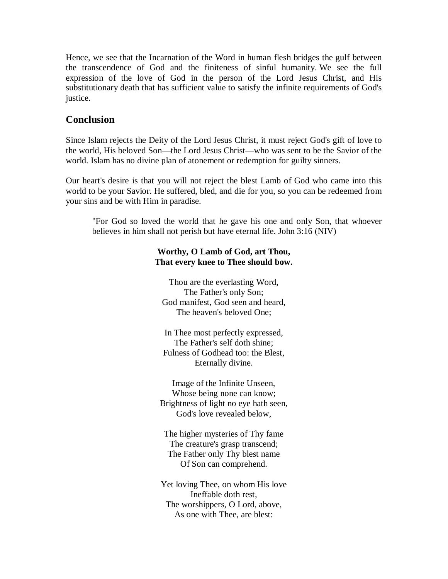Hence, we see that the Incarnation of the Word in human flesh bridges the gulf between the transcendence of God and the finiteness of sinful humanity. We see the full expression of the love of God in the person of the Lord Jesus Christ, and His substitutionary death that has sufficient value to satisfy the infinite requirements of God's justice.

## **Conclusion**

Since Islam rejects the Deity of the Lord Jesus Christ, it must reject God's gift of love to the world, His beloved Son—the Lord Jesus Christ—who was sent to be the Savior of the world. Islam has no divine plan of atonement or redemption for guilty sinners.

Our heart's desire is that you will not reject the blest Lamb of God who came into this world to be your Savior. He suffered, bled, and die for you, so you can be redeemed from your sins and be with Him in paradise.

"For God so loved the world that he gave his one and only Son, that whoever believes in him shall not perish but have eternal life. John 3:16 (NIV)

#### **Worthy, O Lamb of God, art Thou, That every knee to Thee should bow.**

Thou are the everlasting Word, The Father's only Son; God manifest, God seen and heard, The heaven's beloved One;

In Thee most perfectly expressed, The Father's self doth shine; Fulness of Godhead too: the Blest, Eternally divine.

Image of the Infinite Unseen, Whose being none can know; Brightness of light no eye hath seen, God's love revealed below,

The higher mysteries of Thy fame The creature's grasp transcend; The Father only Thy blest name Of Son can comprehend.

Yet loving Thee, on whom His love Ineffable doth rest, The worshippers, O Lord, above, As one with Thee, are blest: